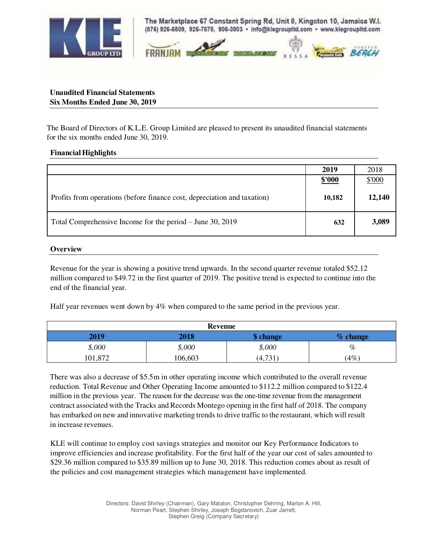

The Marketplace 67 Constant Spring Rd, Unit 8, Kingston 10, Jamaica W.I. (876) 926-6509, 926-7875, 906-3903 · info@klegroupItd.com · www.klegroupItd.com



## **Unaudited Financial Statements Six Months Ended June 30, 2019**

The Board of Directors of K.L.E. Group Limited are pleased to present its unaudited financial statements for the six months ended June 30, 2019.

## **Financial Highlights**

|                                                                          | 2019          | 2018   |
|--------------------------------------------------------------------------|---------------|--------|
|                                                                          | <u>\$'000</u> | \$'000 |
| Profits from operations (before finance cost, depreciation and taxation) | 10,182        | 12,140 |
| Total Comprehensive Income for the period – June 30, 2019                | 632           | 3,089  |

## **Overview**

Revenue for the year is showing a positive trend upwards. In the second quarter revenue totaled \$52.12 million compared to \$49.72 in the first quarter of 2019. The positive trend is expected to continue into the end of the financial year.

Half year revenues went down by 4% when compared to the same period in the previous year.

| <b>Revenue</b> |         |           |            |  |
|----------------|---------|-----------|------------|--|
| 2019           | 2018    | \$ change | $%$ change |  |
| \$,000         | \$,000  | \$,000    | $\%$       |  |
| 101,872        | 106,603 | (4,731)   | (4%        |  |

There was also a decrease of \$5.5m in other operating income which contributed to the overall revenue reduction. Total Revenue and Other Operating Income amounted to \$112.2 million compared to \$122.4 million in the previous year. The reason for the decrease was the one-time revenue from the management contract associated with the Tracks and Records Montego opening in the first half of 2018. The company has embarked on new and innovative marketing trends to drive traffic to the restaurant, which will result in increase revenues.

KLE will continue to employ cost savings strategies and monitor our Key Performance Indicators to improve efficiencies and increase profitability. For the first half of the year our cost of sales amounted to \$29.36 million compared to \$35.89 million up to June 30, 2018. This reduction comes about as result of the policies and cost management strategies which management have implemented.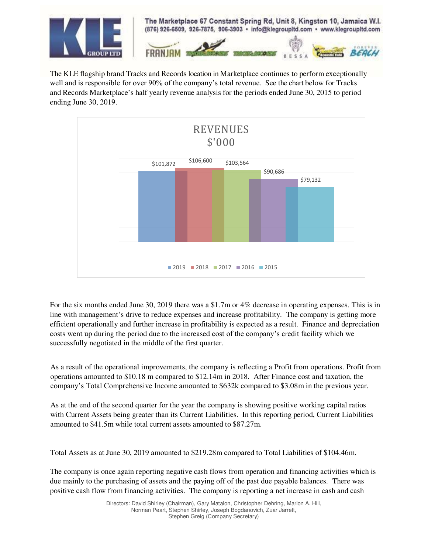

The KLE flagship brand Tracks and Records location in Marketplace continues to perform exceptionally well and is responsible for over 90% of the company's total revenue. See the chart below for Tracks and Records Marketplace's half yearly revenue analysis for the periods ended June 30, 2015 to period ending June 30, 2019.



For the six months ended June 30, 2019 there was a \$1.7m or 4% decrease in operating expenses. This is in line with management's drive to reduce expenses and increase profitability. The company is getting more efficient operationally and further increase in profitability is expected as a result. Finance and depreciation costs went up during the period due to the increased cost of the company's credit facility which we successfully negotiated in the middle of the first quarter.

As a result of the operational improvements, the company is reflecting a Profit from operations. Profit from operations amounted to \$10.18 m compared to \$12.14m in 2018. After Finance cost and taxation, the company's Total Comprehensive Income amounted to \$632k compared to \$3.08m in the previous year.

As at the end of the second quarter for the year the company is showing positive working capital ratios with Current Assets being greater than its Current Liabilities. In this reporting period, Current Liabilities amounted to \$41.5m while total current assets amounted to \$87.27m.

Total Assets as at June 30, 2019 amounted to \$219.28m compared to Total Liabilities of \$104.46m.

The company is once again reporting negative cash flows from operation and financing activities which is due mainly to the purchasing of assets and the paying off of the past due payable balances. There was positive cash flow from financing activities. The company is reporting a net increase in cash and cash